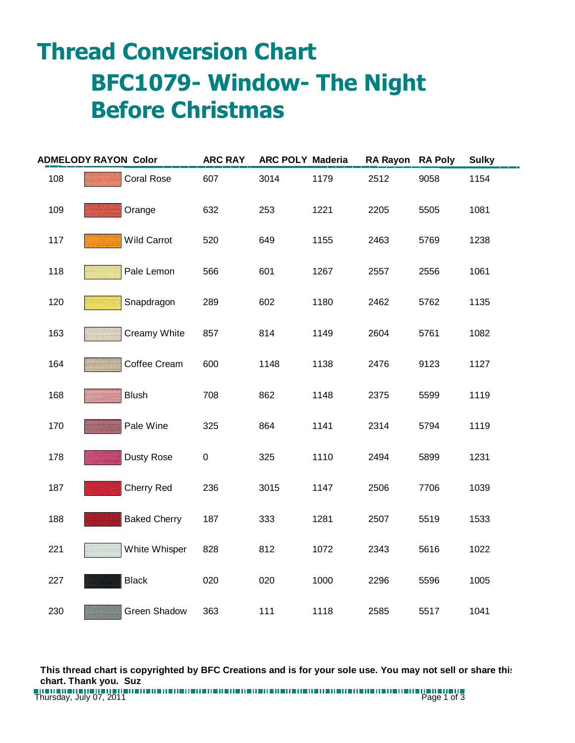## **Thread Conversion Chart BFC1079- Window- The Night Before Christmas**

| <b>ADMELODY RAYON Color</b> |                     | <b>ARC RAY</b> | <b>ARC POLY Maderia</b> |      | <b>RA Rayon</b> | <b>RA Poly</b> | <b>Sulky</b> |
|-----------------------------|---------------------|----------------|-------------------------|------|-----------------|----------------|--------------|
| 108                         | <b>Coral Rose</b>   | 607            | 3014                    | 1179 | 2512            | 9058           | 1154         |
| 109                         | Orange              | 632            | 253                     | 1221 | 2205            | 5505           | 1081         |
| 117                         | <b>Wild Carrot</b>  | 520            | 649                     | 1155 | 2463            | 5769           | 1238         |
| 118                         | Pale Lemon          | 566            | 601                     | 1267 | 2557            | 2556           | 1061         |
| 120                         | Snapdragon          | 289            | 602                     | 1180 | 2462            | 5762           | 1135         |
| 163                         | Creamy White        | 857            | 814                     | 1149 | 2604            | 5761           | 1082         |
| 164                         | Coffee Cream        | 600            | 1148                    | 1138 | 2476            | 9123           | 1127         |
| 168                         | <b>Blush</b>        | 708            | 862                     | 1148 | 2375            | 5599           | 1119         |
| 170                         | Pale Wine           | 325            | 864                     | 1141 | 2314            | 5794           | 1119         |
| 178                         | Dusty Rose          | $\pmb{0}$      | 325                     | 1110 | 2494            | 5899           | 1231         |
| 187                         | Cherry Red          | 236            | 3015                    | 1147 | 2506            | 7706           | 1039         |
| 188                         | <b>Baked Cherry</b> | 187            | 333                     | 1281 | 2507            | 5519           | 1533         |
| 221                         | White Whisper       | 828            | 812                     | 1072 | 2343            | 5616           | 1022         |
| 227                         | <b>Black</b>        | 020            | 020                     | 1000 | 2296            | 5596           | 1005         |
| 230                         | <b>Green Shadow</b> | 363            | 111                     | 1118 | 2585            | 5517           | 1041         |

**This thread chart is copyrighted by BFC Creations and is for your sole use. You may not sell or share this chart. Thank you. Suz**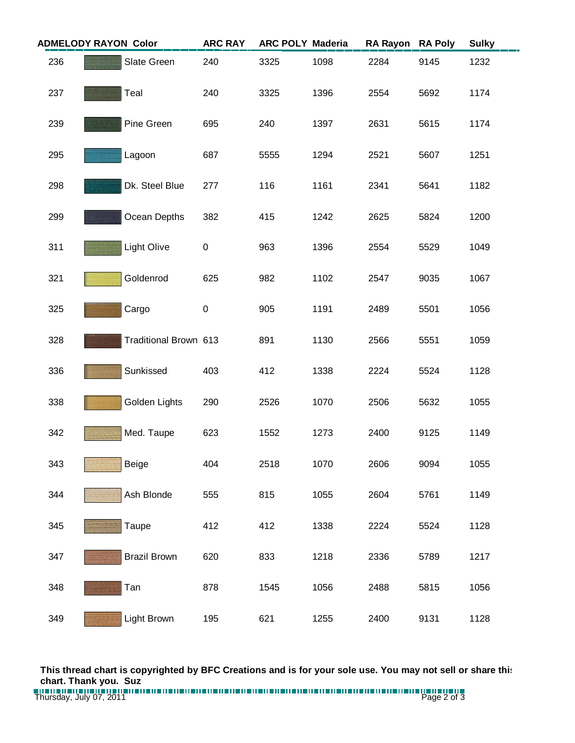| <b>ADMELODY RAYON Color</b> |                     | <b>ARC RAY</b><br><b>ARC POLY Maderia</b> |     | <b>RA Rayon</b> | <b>RA Poly</b> | <b>Sulky</b> |      |      |
|-----------------------------|---------------------|-------------------------------------------|-----|-----------------|----------------|--------------|------|------|
| 236                         | Slate Green         |                                           | 240 | 3325            | 1098           | 2284         | 9145 | 1232 |
| 237                         | Teal                |                                           | 240 | 3325            | 1396           | 2554         | 5692 | 1174 |
| 239                         | Pine Green          |                                           | 695 | 240             | 1397           | 2631         | 5615 | 1174 |
| 295                         | Lagoon              |                                           | 687 | 5555            | 1294           | 2521         | 5607 | 1251 |
| 298                         |                     | Dk. Steel Blue                            | 277 | 116             | 1161           | 2341         | 5641 | 1182 |
| 299                         |                     | Ocean Depths                              | 382 | 415             | 1242           | 2625         | 5824 | 1200 |
| 311                         | <b>Light Olive</b>  |                                           | 0   | 963             | 1396           | 2554         | 5529 | 1049 |
| 321                         | Goldenrod           |                                           | 625 | 982             | 1102           | 2547         | 9035 | 1067 |
| 325                         | Cargo               |                                           | 0   | 905             | 1191           | 2489         | 5501 | 1056 |
| 328                         |                     | Traditional Brown 613                     |     | 891             | 1130           | 2566         | 5551 | 1059 |
| 336                         | Sunkissed           |                                           | 403 | 412             | 1338           | 2224         | 5524 | 1128 |
| 338                         | Golden Lights       |                                           | 290 | 2526            | 1070           | 2506         | 5632 | 1055 |
| 342                         | Med. Taupe          |                                           | 623 | 1552            | 1273           | 2400         | 9125 | 1149 |
| 343                         | <b>Beige</b>        |                                           | 404 | 2518            | 1070           | 2606         | 9094 | 1055 |
| 344                         | Ash Blonde          |                                           | 555 | 815             | 1055           | 2604         | 5761 | 1149 |
| 345                         | Taupe               |                                           | 412 | 412             | 1338           | 2224         | 5524 | 1128 |
| 347                         | <b>Brazil Brown</b> |                                           | 620 | 833             | 1218           | 2336         | 5789 | 1217 |
| 348                         | Tan                 |                                           | 878 | 1545            | 1056           | 2488         | 5815 | 1056 |
| 349                         | Light Brown         |                                           | 195 | 621             | 1255           | 2400         | 9131 | 1128 |

**This thread chart is copyrighted by BFC Creations and is for your sole use. You may not sell or share this chart. Thank you. Suz**